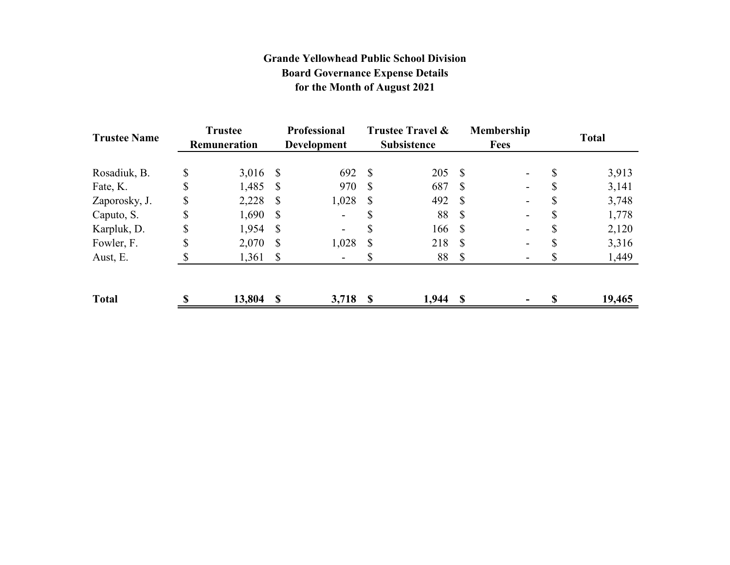# **Grande Yellowhead Public School Division Board Governance Expense Details for the Month of August 2021**

| <b>Trustee Name</b> | <b>Trustee</b><br>Remuneration |            | <b>Professional</b><br><b>Development</b> |                | Trustee Travel &<br><b>Subsistence</b> |            | Membership<br><b>Fees</b> |    | <b>Total</b> |        |
|---------------------|--------------------------------|------------|-------------------------------------------|----------------|----------------------------------------|------------|---------------------------|----|--------------|--------|
| Rosadiuk, B.        | \$                             | $3,016$ \$ |                                           | 692            | -S                                     | 205S       |                           |    | \$           | 3,913  |
| Fate, K.            | \$                             | $1,485$ \$ |                                           | 970            | <sup>S</sup>                           | 687        | S                         |    | \$           | 3,141  |
| Zaporosky, J.       | \$                             | 2,228      | S                                         | 1,028          | <sup>S</sup>                           | 492 \$     |                           |    |              | 3,748  |
| Caputo, S.          | \$                             | $1,690$ \$ |                                           |                |                                        | 88         | - \$                      |    | \$           | 1,778  |
| Karpluk, D.         | \$                             | 1,954      | -S                                        | ۰.             |                                        | 166        | - \$                      | Ξ. | ۰D           | 2,120  |
| Fowler, F.          | \$                             | 2,070      | <sup>S</sup>                              | 1,028          | -S                                     | 218 \$     |                           | Ξ. |              | 3,316  |
| Aust, E.            |                                | $1,361$ \$ |                                           | $\blacksquare$ |                                        | 88         | $\mathbf S$               |    |              | 1,449  |
| <b>Total</b>        | $\mathbf$                      | 13,804     | $\mathbf{\hat{S}}$                        | 3,718          | - \$                                   | $1,944$ \$ |                           |    |              | 19,465 |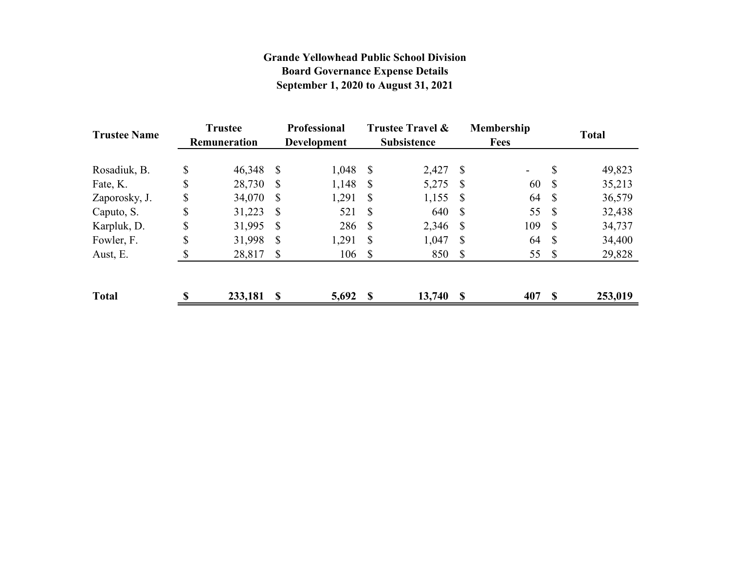# **Grande Yellowhead Public School Division Board Governance Expense Details September 1, 2020 to August 31, 2021**

| <b>Trustee Name</b> | <b>Trustee</b><br><b>Remuneration</b> |         | <b>Professional</b><br><b>Development</b> |       | <b>Trustee Travel &amp;</b><br><b>Subsistence</b> |        |              | <b>Membership</b><br><b>Fees</b> | <b>Total</b> |         |
|---------------------|---------------------------------------|---------|-------------------------------------------|-------|---------------------------------------------------|--------|--------------|----------------------------------|--------------|---------|
| Rosadiuk, B.        | \$                                    | 46,348  | S                                         | 1,048 | - S                                               | 2,427  | $\mathbb{S}$ |                                  | \$           | 49,823  |
| Fate, K.            | \$                                    | 28,730  | S                                         | 1,148 | -S                                                | 5,275  | -S           | 60                               | -S           | 35,213  |
| Zaporosky, J.       | \$                                    | 34,070  | -S                                        | 1,291 | <sup>S</sup>                                      | 1,155  | -S           | 64                               | S            | 36,579  |
| Caputo, S.          | \$                                    | 31,223  | S                                         | 521   | $\mathcal{S}$                                     | 640    | -\$          | 55                               | -S           | 32,438  |
| Karpluk, D.         | \$                                    | 31,995  | S                                         | 286   | -S                                                | 2,346  | -S           | 109                              | -S           | 34,737  |
| Fowler, F.          | \$                                    | 31,998  | S                                         | 1,291 | <sup>S</sup>                                      | 1,047  | S            | 64                               | -S           | 34,400  |
| Aust, E.            |                                       | 28,817  | S                                         | 106   | - S                                               | 850    | -S           | 55                               | - \$         | 29,828  |
| <b>Total</b>        | S                                     | 233,181 | S                                         | 5,692 | $\mathbf s$                                       | 13,740 | S            | 407                              | \$.          | 253,019 |